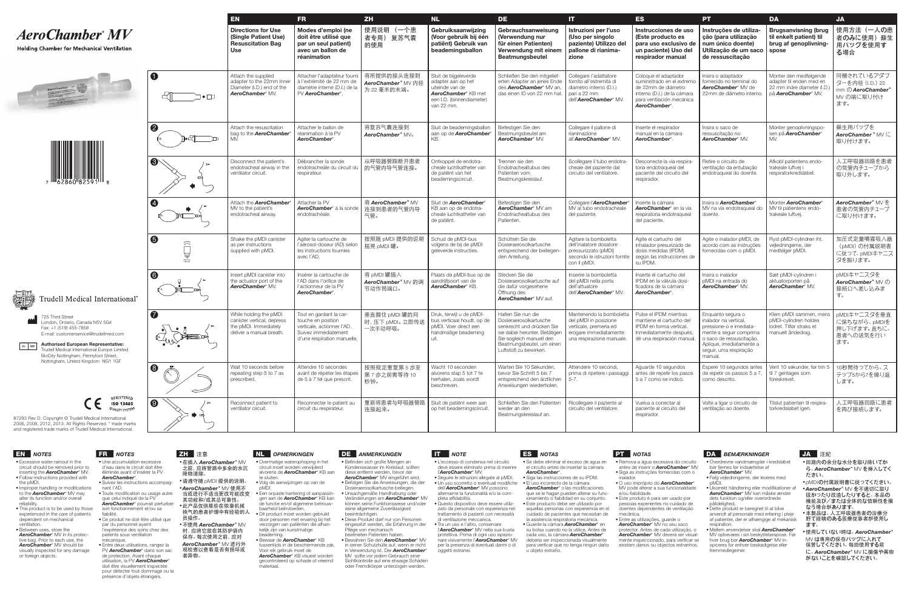## **AeroChamber** MV

## **Holding Chamber for Mechanical Ventilation**







**Authorised European Representative:** Trudell Medical International Europe Limited BioCity Nottingham, Pennyfoot Street, Nottingham, United Kingdom NG1 1GF



725 Third Street London, Ontario, Canada N5V 5G4 Fax: +1 (519) 455-7858 E-mail: customerservice@trudellmed.com **O2**

|                            | EN                                                                                                         | <b>FR</b>                                                                                                                          | ZH                                                          | <b>NL</b>                                                                                                                        | <b>DE</b>                                                                                                                                                                                    | $\mathbf{H}$                                                                                                                       | <b>ES</b>                                                                                                                                             | <b>PT</b>                                                                                                                                                                                     | <b>DA</b>                                                                                                | <b>JA</b>                                                                          |
|----------------------------|------------------------------------------------------------------------------------------------------------|------------------------------------------------------------------------------------------------------------------------------------|-------------------------------------------------------------|----------------------------------------------------------------------------------------------------------------------------------|----------------------------------------------------------------------------------------------------------------------------------------------------------------------------------------------|------------------------------------------------------------------------------------------------------------------------------------|-------------------------------------------------------------------------------------------------------------------------------------------------------|-----------------------------------------------------------------------------------------------------------------------------------------------------------------------------------------------|----------------------------------------------------------------------------------------------------------|------------------------------------------------------------------------------------|
|                            | <b>Directions for Use</b><br>(Single Patient Use)<br><b>Resuscitation Bag</b><br>Use                       | Modes d'emploi (ne<br>doit être utilisé que<br>par un seul patient)<br>avec un ballon de<br>réanimation                            | 使用说明 (一个患<br>者专用) 复苏气囊<br>的使用                               | Gebruiksaanwijzing<br>(Voor gebruik bij één<br>patiënt) Gebruik van<br>beademingsballon                                          | Gebrauchsanweisung<br>(Verwendung nur<br>für einen Patienten)<br>Verwendung mit einem<br><b>Beatmungsbeutel</b>                                                                              | Istruzioni per l'uso<br>(Uso per singolo<br>paziente) Utilizzo del<br>pallone di rianima-<br>zione                                 | Instrucciones de uso<br>(Este producto es<br>para uso exclusivo de<br>un paciente) Uso del<br>respirador manual                                       | Instruções de utiliza-<br>cão (para utilização<br>num único doente)<br>Utilização de um saco<br>de ressuscitação                                                                              | <b>Brugsanvisning (brug</b><br>til enkelt patient) til<br>brug af genoplivning-<br>spose                 | 使用方法(一人の患<br>者のみに使用) 蘇生<br>用バッグを使用す<br>る場合                                         |
| $\overline{\mathbf{0}}$    | Attach the supplied<br>adapter to the 22mm Inner<br>Diameter (I.D.) end of the<br><b>AeroChamber</b> * MV. | Attacher l'adaptateur fourn<br>à l'extrémité de 22 mm de<br>diamètre interne (D.I.) de la<br>PV AeroChamber*.                      | 将所提供的接头连接到<br>AeroChamber <sup>*</sup> MV 内径<br>为 22 毫米的末端。 | Sluit de bijgeleverde<br>adapter aan op het<br>uiteinde van de<br>AeroChamber* KB met<br>een I.D. (binnendiameter)<br>van 22 mm. | Schließen Sie den mitgelief-<br>erten Adapter an jenes Ende<br>des <b>AeroChamber</b> * MV an,<br>das einen ID von 22 mm hat.                                                                | Collegare l'adattatore<br>fornito all'estremità di<br>diametro interno (D.I.)<br>pari a 22 mm<br>dell'AeroChamber* MV.             | Coloque el adaptador<br>suministrado en el extremo<br>de 22mm de diámetro<br>interno (D.I.) de la cámara<br>para ventilación mecánica<br>AeroChamber* | Insira o adaptador<br>fornecido no terminal do<br>AeroChamber* MV de<br>22 mm de diâmetro interno                                                                                             | Monter den medfølgende<br>adapter til enden med en<br>22 mm indre diameter (I.D.)<br>på AeroChamber* MV. | 同梱されているアダプ<br>ターを内径 (I.D.) 22<br>mm $\mathcal D$ AeroChamber*<br>MV の端に取り付け<br>ます。 |
| $\boldsymbol{Q}$           | Attach the resuscitation<br>bag to the <b>AeroChamber</b><br>MV.                                           | Attacher le ballon de<br>réanimation à la PV<br>AeroChamber*.                                                                      | 将复苏气囊连接到<br><b>AeroChamber* MV。</b>                         | Sluit de beademingsballon<br>aan op de AeroChamber<br>KB.                                                                        | Befestigen Sie den<br>Beatmungsbeutel am<br>AeroChamber* MV.                                                                                                                                 | Collegare il pallone di<br>rianimazione<br>all' <b>AeroChamber</b> * MV.                                                           | Inserte el respirador<br>manual en la cámara<br>AeroChamber*                                                                                          | Insira o saco de<br>ressuscitação no<br>AeroChamber* MV.                                                                                                                                      | Monter genoplivningspo-<br>sen på AeroChamber*<br>MV.                                                    | 蘇生用バッグを<br>AeroChamber * MV IL<br>取り付けます。                                          |
| $\mathbf{e}$<br>▭<br>◆     | Disconnect the patient's<br>endotracheal airway in the<br>ventilator circuit.                              | Débrancher la sonde<br>endotracheále du circuit du<br>respirateur.                                                                 | 从呼吸器管路断开患者<br>的气管内导气管连接。                                    | Ontkoppel de endotra-<br>cheale luchtkatheter van<br>de patiënt van het<br>beademingscircuit.                                    | Trennen sie den<br>Endotrachealtubus des<br>Patienten vom<br>Beatmungskreislauf.                                                                                                             | Scollegare il tubo endotra-<br>cheale del paziente dal<br>circuito del ventilatore.                                                | Desconecte la vía respira-<br>toria endotraqueal del<br>paciente del circuito del<br>respirador.                                                      | Retire o circuito de<br>ventilação da entubação<br>endotraqueal do doente.                                                                                                                    | Afkobl patientens endo-<br>trakeale luftvej i<br>respiratorkredsløbet.                                   | 人工呼吸器回路を患者<br>の気管内チューブから<br>取り外します。                                                |
| $\boldsymbol{\Phi}$        | Attach the <i>AeroChamber</i><br>MV to the patient's<br>endotracheal airway.                               | Attacher la PV<br>AeroChamber* à la sonde<br>endotrachéale.                                                                        | 将 AeroChamber* MV<br>连接到患者的气管内导<br>气管。                      | Sluit de AeroChamber*<br>KB aan op de endotra-<br>cheale luchtkatheter van<br>de patiënt.                                        | Befestigen Sie den<br>AeroChamber* MV am<br>Endotrachealtubus des<br>Patienten.                                                                                                              | Collegare l'AeroChamber<br>MV al tubo endotracheale<br>del paziente.                                                               | Inserte la cámara<br>AeroChamber* en la vía<br>respiratoria endotraqueal<br>del paciente.                                                             | Insira o AeroChamber*<br>MV na via endotraqueal do<br>doente.                                                                                                                                 | Monter AeroChamber*<br>MV til patientens endo-<br>trakeale luftvei.                                      | AeroChamber <sup>*</sup> MV を<br>患者の気管内チューブ<br>に取り付けます。                            |
| $\bullet$<br>二             | Shake the pMDI canister<br>as per instructions<br>supplied with pMDI.                                      | Agiter la cartouche de<br>l'aérosol-doseur (AD) selon<br>les instructions fournies<br>avec l'AD.                                   | 按照随 pMDI 提供的说明<br>摇晃 pMDI 罐。                                | Schud de pMDI-bus<br>volgens de bij de pMDI<br>geleverde instructies.                                                            | Schütteln Sie die<br>Dosieraerosolkartusche<br>entsprechend der beiliegen-<br>den Anleitung.                                                                                                 | Agitare la bomboletta<br>dell'inalatore dosatore<br>pressurizzato (pMDI)<br>secondo le istruzioni fornite<br>con il pMDI.          | Agite el cartucho del<br>inhalador presurizado de<br>dosis medidas (IPDM)<br>según las instrucciones de<br>su IPDM.                                   | Agite o inalador pMDI, de<br>acordo com as instruções<br>fornecidas com o pMDI.                                                                                                               | Ryst pMDI-cylindren iht.<br>vejledningerne, der<br>medfølger pMDI.                                       | 加圧式定量噴霧吸入器<br>(pMDI) の付属説明書<br>に従って、pMDIキャニス<br>タを振ります。                            |
| $\bullet$                  | Insert pMDI canister into<br>the actuator port of the<br><b>AeroChamber* MV.</b>                           | Insérer la cartouche de<br>l'AD dans l'orifice de<br>l'actionneur de la PV<br>AeroChamber*.                                        | 将 pMDI 罐插入<br>AeroChamber <sup>*</sup> MⅤ 的调<br>节动作筒端口。     | Plaats de pMDI-bus op de<br>aandrijfpoort van de<br>AeroChamber* KB.                                                             | Stecken Sie die<br>Dosieraerosolkartusche auf<br>die dafür vorgesehene<br>Öffnung des<br>AeroChamber* MV auf.                                                                                | Inserire la bomboletta<br>del pMDI nella porta<br>dell'attuatore<br>dell'AeroChamber* MV.                                          | Inserte el cartucho del<br>IPDM en la válvula dosi<br>ficadora de la cámara<br>AeroChamber*                                                           | Insira o inalador<br>pMDI na entrada do<br>AeroChamber* MV.                                                                                                                                   | Sæt pMDI-cylindren i<br>aktuatorporten på<br>AeroChamber* MV.                                            | pMDIキャニスタを<br>AeroChamber <sup>*</sup> MV の<br>接続口へ差し込みま<br>す。                     |
| $\bullet$                  | While holding the pMDI<br>canister vertical, depress<br>the pMDI. Immediately<br>deliver a manual breath   | Tout en gardant la car-<br>touche en position<br>verticale, actionner l'AD.<br>Suivez immédiatement<br>d'une respiration manuelle. | 垂直握住 pMDI 罐的同<br>时,压下 pMDI。立即传送<br>一次手动呼吸。                  | Druk, terwijl u de pMDI-<br>bus verticaal houdt, op de<br>pMDI. Voer direct een<br>handmatige beademing<br>uit.                  | Halten Sie nun die<br>Dosieraerosolkartusche<br>senkrecht und drücken Sie<br>sie dabei herunter. Betätiger<br>Sie sogleich manuell den<br>Beatmungsbeutel, um einen<br>Luftstoß zu bewirken. | Mantenendo la bomboletta<br>del pMDI in posizione<br>verticale, premerla ed<br>erogare immediatamente<br>una respirazione manuale. | Pulse el IPDM mientras<br>mantiene el cartucho del<br>IPDM en forma vertical.<br>Inmediatamente después<br>dé una respiración manual.                 | Enquanto segura o<br>inalador na vertical.<br>pressione-o e imediata-<br>mente a seguir comprima<br>o saco de ressuscitação.<br>Aplique, imediatamente a<br>seguir, uma respiração<br>manual. | Klem pMDI sammen, mens<br>pMDI-cylindren holdes<br>lodret. Tilfør straks et<br>manuelt åndedrag.         | pMDIキャニスタを垂直<br>に保ちながら、pMDIを<br>押し下げます。直ちに、<br>患者への送気を行い<br>ます。                    |
| 8                          | Wait 10 seconds before<br>repeating step 5 to 7 as<br>prescribed.                                          | Attendre 10 secondes<br>avant de répéter les étapes<br>de 5 à 7 tel que prescrit.                                                  | 按照规定重复第5步至<br>第7步之前需等待10<br>秒钟。                             | Wacht 10 seconden<br>alvorens stap 5 tot 7 te<br>herhalen, zoals wordt<br>beschreven.                                            | Warten Sie 10 Sekunden,<br>bevor Sie Schritt 5 bis 7<br>entsprechend den ärztlichen<br>Anweisungen wiederholen.                                                                              | Attendere 10 secondi.<br>prima di ripetere i passaggi<br>$5 - 7$ .                                                                 | Aguarde 10 segundos<br>antes de repetir los pasos<br>5 a 7 como se indicó.                                                                            | Espere 10 segundos antes<br>de repetir os passos 5 a 7,<br>como descrito.                                                                                                                     | Vent 10 sekunder, før trin 5<br>til 7 gentages som<br>foreskrevet.                                       | 10秒間待ってから、ス<br>テツプ5から7を繰り返<br>します。                                                 |
| $\boldsymbol{\Theta}$<br>— | Reconnect patient to<br>ventilator circuit.                                                                | Reconnecter le patient au<br>circuit du respirateur.                                                                               | 重新将患者与呼吸器管路<br>连接起来。                                        | Sluit de patiënt weer aan<br>op het beademingscircuit.                                                                           | Schließen Sie den Patienten<br>wieder an den<br>Beatmungskreislauf an.                                                                                                                       | Ricollegare il paziente al<br>circuito del ventilatore.                                                                            | Vuelva a conectar al<br>paciente al circuito del<br>respirador.                                                                                       | Volte a ligar o circuito de<br>ventilação ao doente.                                                                                                                                          | Tilslut patienten til respira-<br>torkredsløbet igen.                                                    | 人工呼吸器回路に患者<br>を再び接続します。                                                            |

- • Excessive water rainout in the circuit should be removed prior to inserting the *AeroChamber*\* MV. • Follow instructions provided with
- the pMDI. • Improper handling or modifications to the *AeroChamber*\* MV may alter its function and/or overall
- reliability. • This product is to be used by those experienced in the care of patients dependent on mechanical
- ventilation. · Between uses, store the *AeroChamber*\* MV in its protective bag. Prior to each use, the
- *AeroChamber*\* MV should be visually inspected for any damage or foreign objects.

**O2** 87293 Rev D. Copyright © Trudell Medical International 2006, 2008, 2012, 2013. All Rights Reserved. \* trade marks and registered trade marks of Trudell Medical International.

## EN *NOTES* FR *NOTES* ZH 注意 NL *OPMERKINGEN* DE *ANMERKUNGEN* IT *NOTE* ES *NOTAS* PT *NOTAS* DA *BEMÆRKNINGER* JA 注記

- • Une accumulation excessive d'eau dans le circuit doit être éliminée avant d'insérer la PV *AeroChamber*\*.
- • Suivez les instructions accompagnant I'AD. • Toute modification ou usage autre que celui indiqué de la PV *AeroChamber*\* pourrait perturber
- son fonctionnement et/ou sa fiabilité. • Ce produit ne doit être utilisé que
- par du personnel ayamt l'expérience des soins chez des patients sous ventilation mécanique.
	- • Entre deux utilisations, rangez la PV *AeroChamber*\* dans son sac de protection. Avant chaque utilisation, la PV *AeroChamber*\* *AeroChamber*\* MV 进行外 观检查以查看是否有损坏或 者异物。

doit être visuellement inspectée pour détecter tout dommage ou la présence d'objets étrangers.

•在插入 *AeroChamber*\* MV 之前,应将管路中多余的水沉

降物清除。

•请遵守随 pMDI 提供的说明。 •*AeroChamber*\* MV 使用不 当或进行不适当更改可能改变 其功能和/或其总可靠性。 •此产品仅供那些在依靠机械

员操作。

保存。每次使用之前,应对

- • Overmatige waterophoping in het circuit moet worden verwijderd alvorens de *AeroChamber*\* KB aan te sluiten.
- • Volg de aanwijzingen op van de pMDI.
- • Een onjuiste hantering of aanpassingen aan de *AeroChamber*\* KB kan de functie en/of algemene betrouw-
- 换气的患者护理中有经验的人 baarheid beïnvloeden. • Dit product moet worden gebruikt door personen met ervaring bij het verzorgen van patiënten die afhan-
- •不使用 *AeroChamber*\* MV 时,应将它放在其防护袋内 kelijk zijn van kunstmatige beademing. • Bewaar de *AeroChamber*\* KB tussentijds in de beschermende zak.
	- Voor elk gebruik moet de *AeroChamber*\* KB visueel worden gecontroleerd op schade of vreemd materiaal.

- • Befinden sich große Mengen an Kondenswasser im Kreislauf, sollten diese entfernt werden, bevor der *AeroChamber*\* MV eingeführt wird. • Befolgen Sie die Anweisungen, die der Dosieraerosolkartusche beiliegen. • Unsachgemäße Handhabung oder Veränderungen am *AeroChamber*\* MV können seine Funktionsweise und/oder seine allgemeine Zuverlässigkeit
- beeinträchtigen. • Diese Produkt darf nur von Personen eingesetzt werden, die Erfahrung in der
- Pflege von mechanisch beatmeten Patienten haben. • Bewahren Sie den *AeroChamber*\* MV
- in seiner Schutzhülle auf, wenn er nicht in Verwendung ist. Der *AeroChamber*\* MV sollte vor jedem Gebrauch einer Sichtkontrolle auf eine etwaige Schäden oder Fremdkörper unterzogen werden.

- • L'eccesso di condensa nel circuito deve essere eliminato prima di inserire l'*AeroChamber*\* MV.
- • Seguire le istruzioni allegate al pMDI. • Un uso scorretto o eventuali modifiche dell'*AeroChamber*\* MV possono
- alternarne la funzionalità e/o la completa affidabilità. • Questo dispositivo deve essere utiliz-
- zato da personale con esperienza nel trattamento di pazienti con necessità di ventilazione meccanica.
- • Tra un uso e l'altro, conservare l'*AeroChamber*\* MV nella sua busta protettiva. Prima di ogni uso ispezionare visivamente l'*AeroChamber*\* MV per la presenza di eventuali danni o di

# oggetti estranei.

- • Se debe eliminar el exceso de agua en el circuito antes de insertar la cámara *AeroChamber*\*.
- • Siga las instrucciones de su IPDM. • El uso incorrecto de la cámara *AeroChamber*\* o las modificaciones que se le hagan pueden alterar su func-
- ionamiento o fiabilidad en su conjunto. • Este producto debe ser utilizado por aquellas personas con experiencia en el cuidado de pacientes que necesitan de
- la asistencia respiratoria mecánica. • Guarde la cámara *AeroChamber*\* en su bolsa cuando no la utilice. Antes de cada uso, la cámara *AeroChamber*\* debería ser inspeccionada visualmente para verificar que no tenga ningún daño u objeto extraño.
- 
- mecânica.
- 

## • Remova a água excessiva do circuito antes de inserir o *AeroChamber*\* MV. • Siga as instruções fornecidas com o

inalador.

- • O uso impróprio do *AeroChamber*\* MV pode alterar a sua funcionalidade e/ou fiabilidade. • Este produto é para ser usado por
- pessoas experientes no cuidado de doentes dependentes de ventilação
- • Entre as utilizações, guarde o *AeroChamber*\* MV no seu saco protector. Antes de cada utilização, o *AeroChamber*\* MV deverá ser visualmente inspeccionado, para verificar se existem danos ou objectos estranhos.
- • Overdrevne vandmængder i kredsløbet bør fjernes før indsættelse af *AeroChamber*\* MV.
- • Følg vejledningerne, der leveres med pMDI.
- • Ukorrekt håndtering eller modifikationer af *AeroChamber*\* MV kan måske ændre dets funktion og/eller overordnede pålidelighed.
- • Dette produkt er beregnet til at blive anvendt af personale med erfaring i pleje af patienter, der er afhængige af mekanisk respiration.
- • Mellem anvendelser skal *AeroChamber*\* MV opbevares i sin beskyttelsespose. Før hver brug bør *AeroChamber*\* MV inspiceres for enhver beskadigelse eller fremmedlegemer.

- •回路内の余分な水分を取り除いてか ら、*AeroChamber*\* MV を挿入してく ださい。
- •pMDIの付属説明書に従ってください。
- •*AeroChamber*\* MV を不適切に取り 扱かったり改造したりすると、本品の 機能及び/または全体的な信頼性を損 なう場合があります。
- •本製品は、人工呼吸器患者の治療分 野で経験のある医療従事者が使用し ます。
- •使用していない時は、*AeroChamber*\* MV は専用の保存バッグに入れて 保管してください。毎回使用する前 に、*AeroChamber*\* MV に損傷や異物 がないことを確認してください。